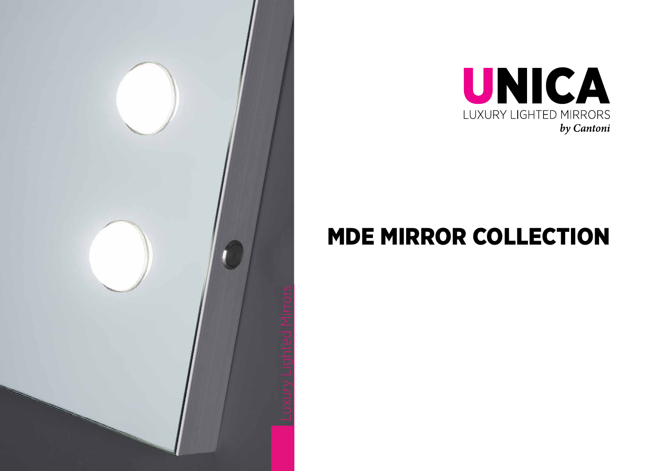



# MDE MIRROR COLLECTION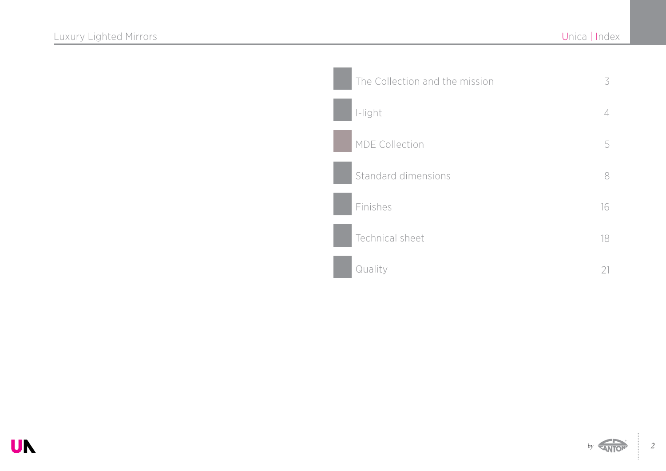| The Collection and the mission | 3              |
|--------------------------------|----------------|
| I-light                        | $\overline{4}$ |
| <b>MDE Collection</b>          | 5              |
| Standard dimensions            | 8              |
| Finishes                       | 16             |
| Technical sheet                | 18             |
| Quality                        | Z              |

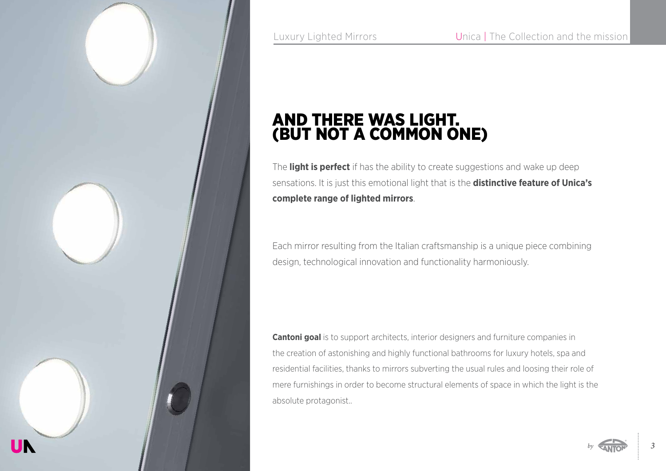

### AND THERE WAS LIGHT. (BUT NOT A COMMON ONE)

The **light is perfect** if has the ability to create suggestions and wake up deep sensations. It is just this emotional light that is the **distinctive feature of Unica's complete range of lighted mirrors**.

Each mirror resulting from the Italian craftsmanship is a unique piece combining design, technological innovation and functionality harmoniously.

**Cantoni goal** is to support architects, interior designers and furniture companies in the creation of astonishing and highly functional bathrooms for luxury hotels, spa and residential facilities, thanks to mirrors subverting the usual rules and loosing their role of mere furnishings in order to become structural elements of space in which the light is the absolute protagonist..

*by*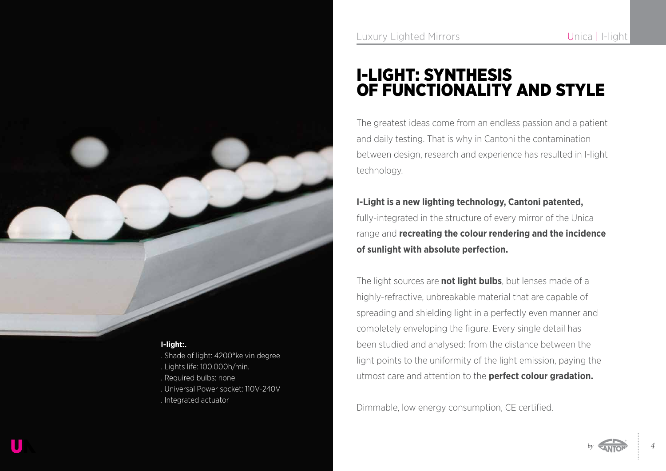

#### **I-light:.**

- . Shade of light: 4200°kelvin degree
- . Lights life: 100.000h/min.
- . Required bulbs: none
- . Universal Power socket: 110V-240V
- . Integrated actuator

### I-LIGHT: SYNTHESIS OF FUNCTIONALITY AND STYLE

The greatest ideas come from an endless passion and a patient and daily testing. That is why in Cantoni the contamination between design, research and experience has resulted in I-light technology.

#### **I-Light is a new lighting technology, Cantoni patented,** fully-integrated in the structure of every mirror of the Unica

range and **recreating the colour rendering and the incidence of sunlight with absolute perfection.**

The light sources are **not light bulbs**, but lenses made of a highly-refractive, unbreakable material that are capable of spreading and shielding light in a perfectly even manner and completely enveloping the figure. Every single detail has been studied and analysed: from the distance between the light points to the uniformity of the light emission, paying the utmost care and attention to the **perfect colour gradation.**

Dimmable, low energy consumption, CE certified.

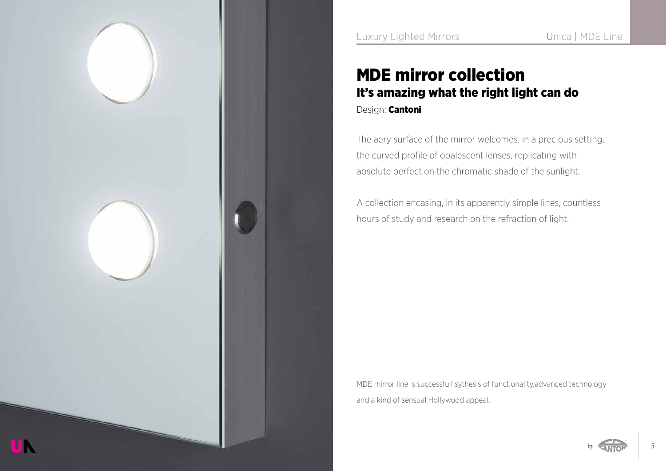

### MDE mirror collection It's amazing what the right light can do Design: Cantoni

The aery surface of the mirror welcomes, in a precious setting, the curved profile of opalescent lenses, replicating with absolute perfection the chromatic shade of the sunlight.

A collection encasing, in its apparently simple lines, countless hours of study and research on the refraction of light.

MDE mirror line is successfull sythesis of functionality,advanced technology and a kind of sensual Hollywood appeal.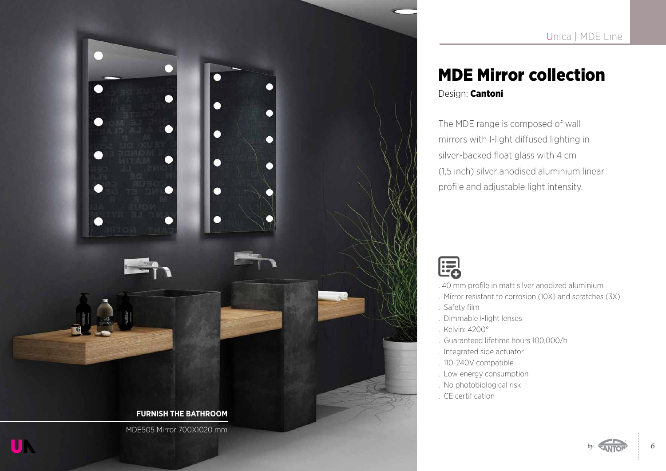

### MDE Mirror collection Design: **Cantoni**

The MDE range is composed of wall mirrors with I-light diffused lighting in silver-backed float glass with 4 cm (1,5 inch) silver anodised aluminium linear profile and adjustable light intensity.



- . 40 mm profile in matt silver anodized aluminium
- . Mirror resistant to corrosion (10X) and scratches (3X)
- . Safety film
- . Dimmable I-light lenses
- . Kelvin: 4200°
- . Guaranteed lifetime hours 100,000/h
- . Integrated side actuator
- . 110-240V compatible
- . Low energy consumption
- . No photobiological risk
- . CE certification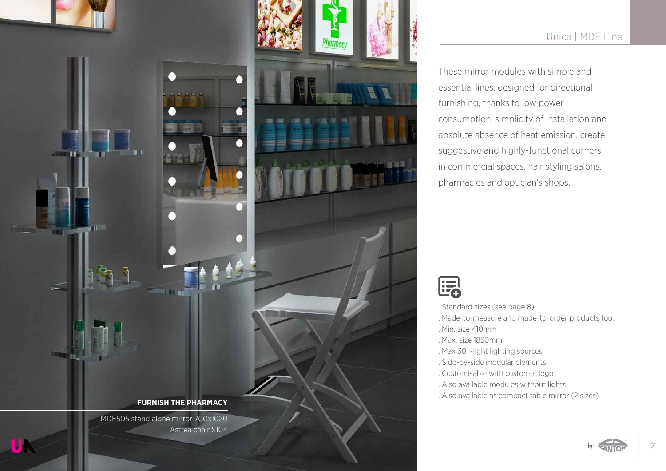

#### Unica | MDE Line

These mirror modules with simple and essential lines, designed for directional furnishing, thanks to low power consumption, simplicity of installation and absolute absence of heat emission, create suggestive and highly-functional corners in commercial spaces, hair styling salons, pharmacies and optician's shops.

![](_page_6_Picture_3.jpeg)

. Standard sizes (see page 8) . Made-to-measure and made-to-order products too. . Min. size 410mm . Max. size 1850mm . Max 30 I-light lighting sources . Side-by-side modular elements . Customisable with customer logo . Also available modules without lights

. Also available as compact table mirror (2 sizes)

![](_page_6_Picture_6.jpeg)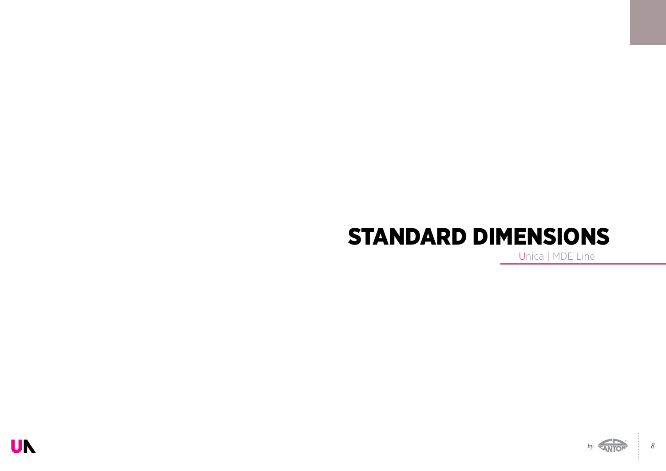# STANDARD DIMENSIONS

Unica | MDE Line

![](_page_7_Picture_3.jpeg)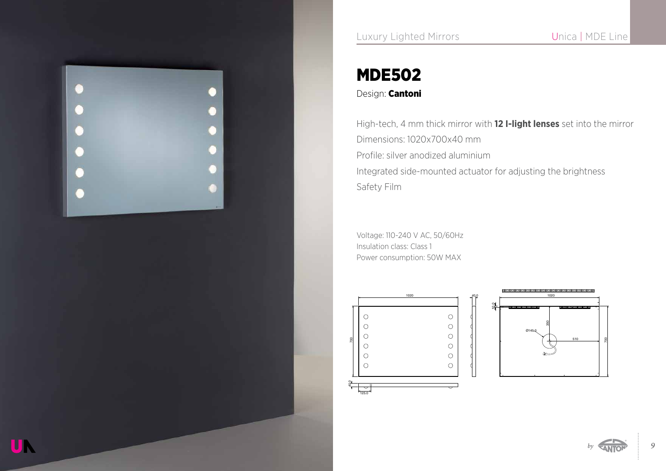![](_page_8_Picture_0.jpeg)

UN

## MDE502

#### Design: **Cantoni**

High-tech, 4 mm thick mirror with **12 I-light lenses** set into the mirror Dimensions: 1020x700x40 mm Profile: silver anodized aluminium Integrated side-mounted actuator for adjusting the brightness Safety Film

![](_page_8_Figure_7.jpeg)

![](_page_8_Figure_8.jpeg)

![](_page_8_Picture_9.jpeg)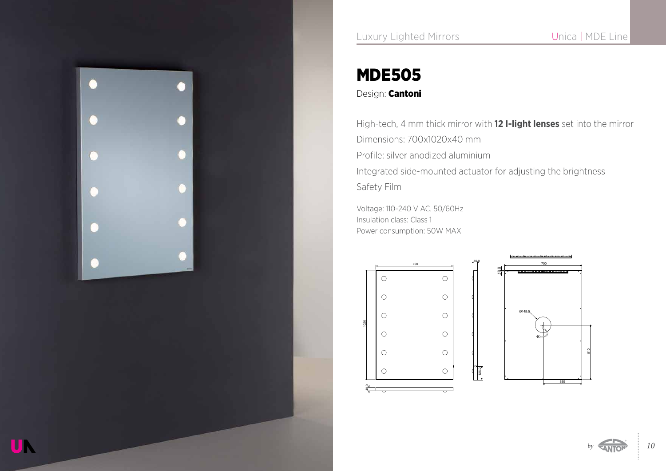![](_page_9_Picture_0.jpeg)

UN

#### Luxury Lighted Mirrors **Unica | MDE Line**

## MDE505

#### Design: **Cantoni**

High-tech, 4 mm thick mirror with **12 I-light lenses** set into the mirror Dimensions: 700x1020x40 mm Profile: silver anodized aluminium Integrated side-mounted actuator for adjusting the brightness Safety Film

125.0

40.0

![](_page_9_Figure_7.jpeg)

![](_page_9_Picture_8.jpeg)

![](_page_9_Picture_9.jpeg)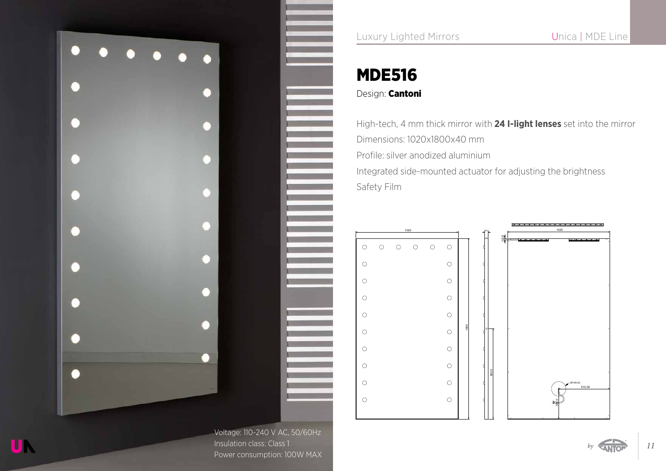![](_page_10_Picture_0.jpeg)

Voltage: 110-240 V AC, 50/60Hz Insulation class: Class 1 Power consumption: 100W MAX Luxury Lighted Mirrors **Unica | MDE Line** 

## MDE516

#### Design: **Cantoni**

High-tech, 4 mm thick mirror with **24 I-light lenses** set into the mirror Dimensions: 1020x1800x40 mm Profile: silver anodized aluminium Integrated side-mounted actuator for adjusting the brightness Safety Film

![](_page_10_Figure_6.jpeg)

![](_page_10_Figure_7.jpeg)

![](_page_10_Picture_8.jpeg)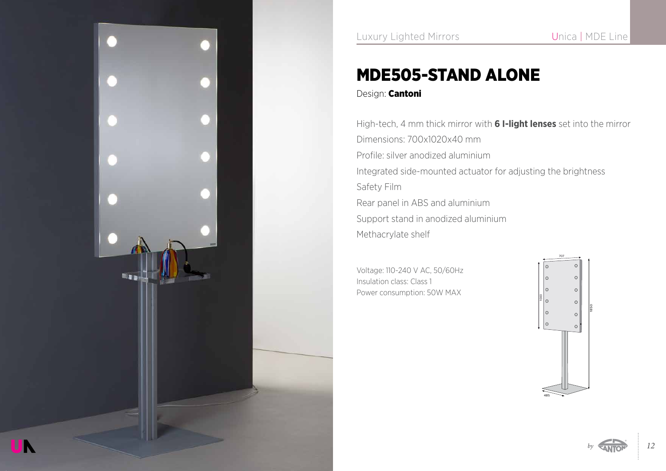![](_page_11_Picture_0.jpeg)

## MDE505-STAND ALONE

Design: **Cantoni** 

High-tech, 4 mm thick mirror with **6 I-light lenses** set into the mirror Dimensions: 700x1020x40 mm Profile: silver anodized aluminium Integrated side-mounted actuator for adjusting the brightness Safety Film Rear panel in ABS and aluminium Support stand in anodized aluminium Methacrylate shelf

![](_page_11_Figure_7.jpeg)

![](_page_11_Picture_8.jpeg)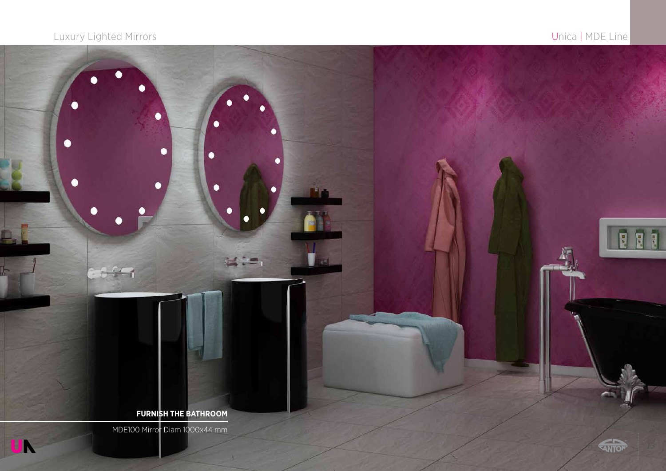![](_page_12_Picture_2.jpeg)

![](_page_12_Picture_3.jpeg)

MDE100 Mirror Diam 1000x44 mm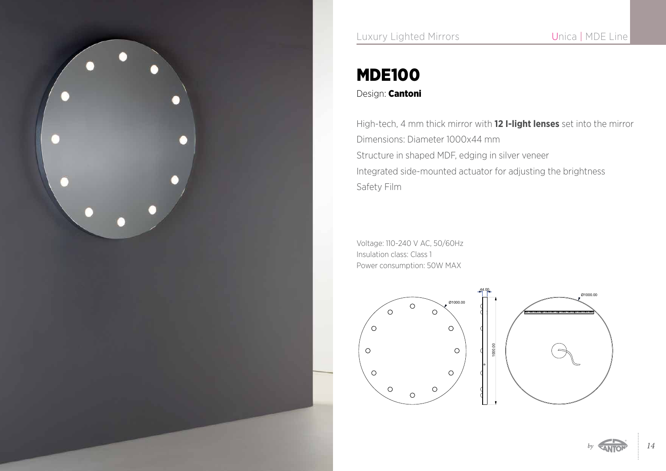![](_page_13_Picture_0.jpeg)

## MDE100

#### Design: **Cantoni**

High-tech, 4 mm thick mirror with **12 I-light lenses** set into the mirror Dimensions: Diameter 1000x44 mm Structure in shaped MDF, edging in silver veneer Integrated side-mounted actuator for adjusting the brightness Safety Film

![](_page_13_Figure_7.jpeg)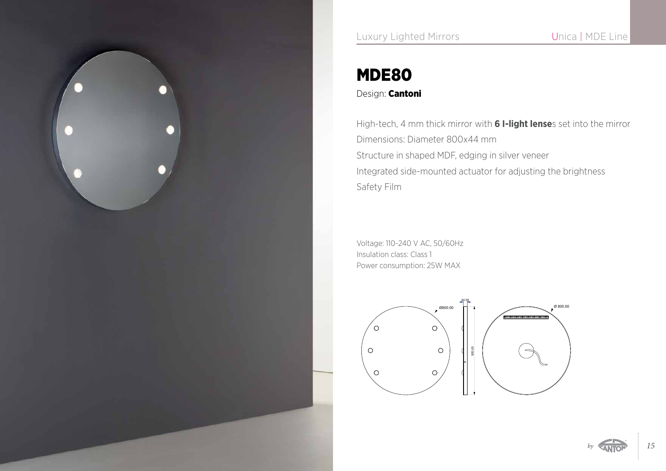![](_page_14_Picture_0.jpeg)

## MDE80

#### Design: **Cantoni**

High-tech, 4 mm thick mirror with **6 I-light lense**s set into the mirror Dimensions: Diameter 800x44 mm Structure in shaped MDF, edging in silver veneer Integrated side-mounted actuator for adjusting the brightness Safety Film

![](_page_14_Figure_7.jpeg)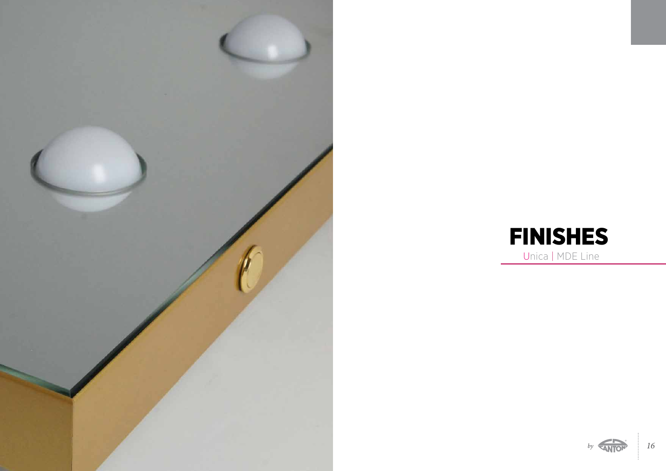![](_page_15_Picture_0.jpeg)

![](_page_15_Picture_1.jpeg)

![](_page_15_Picture_2.jpeg)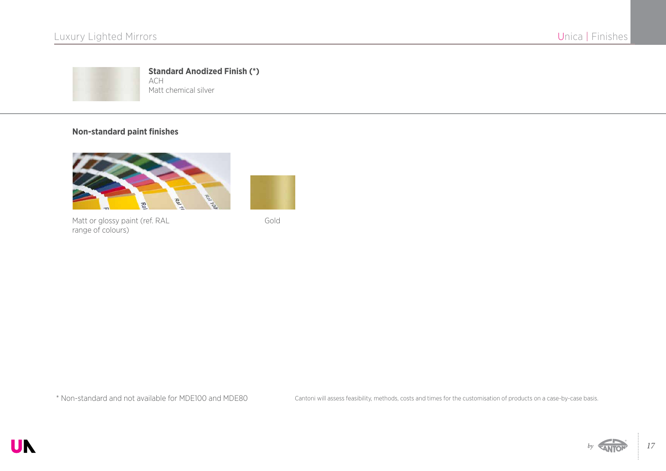![](_page_16_Picture_2.jpeg)

#### **Non-standard paint finishes**

![](_page_16_Picture_4.jpeg)

Matt or glossy paint (ref. RAL Gold range of colours)

\* Non-standard and not available for MDE100 and MDE80 Cantoni will assess feasibility, methods, costs and times for the customisation of products on a case-by-case basis.

![](_page_16_Picture_10.jpeg)

![](_page_16_Picture_11.jpeg)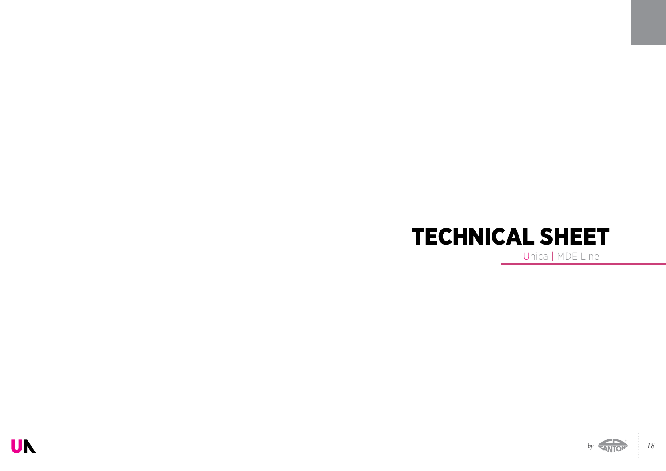# TECHNICAL SHEET

Unica | MDE Line

![](_page_17_Picture_3.jpeg)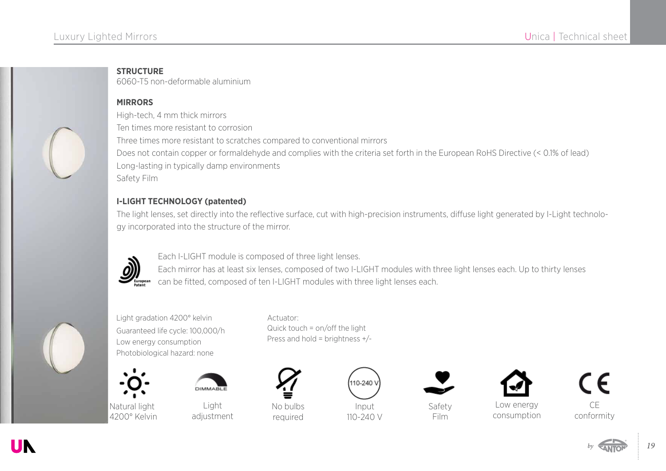![](_page_18_Picture_2.jpeg)

#### **STRUCTURE**

6060-T5 non-deformable aluminium

#### **MIRRORS**

High-tech, 4 mm thick mirrors Ten times more resistant to corrosion Three times more resistant to scratches compared to conventional mirrors Does not contain copper or formaldehyde and complies with the criteria set forth in the European RoHS Directive (< 0.1% of lead) Long-lasting in typically damp environments Safety Film

#### **I-LIGHT TECHNOLOGY (patented)**

The light lenses, set directly into the reflective surface, cut with high-precision instruments, diffuse light generated by I-Light technology incorporated into the structure of the mirror.

![](_page_18_Picture_9.jpeg)

Each I-LIGHT module is composed of three light lenses.

Each mirror has at least six lenses, composed of two I-LIGHT modules with three light lenses each. Up to thirty lenses can be fitted, composed of ten I-LIGHT modules with three light lenses each.

110-240 V

![](_page_18_Picture_12.jpeg)

Light gradation 4200° kelvin Guaranteed life cycle: 100,000/h Low energy consumption Photobiological hazard: none

![](_page_18_Picture_14.jpeg)

Light adjustment Actuator: Quick touch = on/off the light Press and hold = brightness +/-

![](_page_18_Picture_17.jpeg)

No bulbs required

![](_page_18_Picture_19.jpeg)

![](_page_18_Picture_20.jpeg)

Safety Film

![](_page_18_Picture_22.jpeg)

consumption

 $\epsilon$ CE

conformity

![](_page_18_Picture_24.jpeg)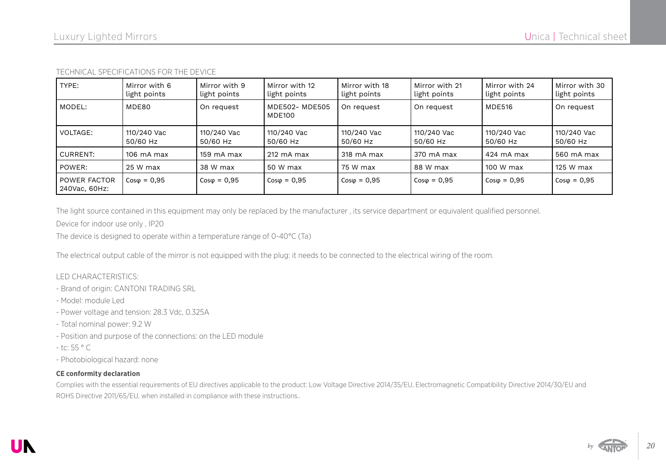| TYPE:                                | Mirror with 6<br>light points | Mirror with 9<br>light points | Mirror with 12<br>light points | Mirror with 18<br>light points | Mirror with 21<br>light points | Mirror with 24<br>light points | Mirror with 30<br>light points |
|--------------------------------------|-------------------------------|-------------------------------|--------------------------------|--------------------------------|--------------------------------|--------------------------------|--------------------------------|
| MODEL:                               | MDE80                         | On request                    | MDE502- MDE505<br>MDE100       | On request                     | On request                     | <b>MDE516</b>                  | On request                     |
| <b>VOLTAGE:</b>                      | 110/240 Vac<br>50/60 Hz       | 110/240 Vac<br>50/60 Hz       | 110/240 Vac<br>50/60 Hz        | 110/240 Vac<br>50/60 Hz        | 110/240 Vac<br>50/60 Hz        | 110/240 Vac<br>50/60 Hz        | 110/240 Vac<br>50/60 Hz        |
| <b>CURRENT:</b>                      | $106 \text{ mA max}$          | 159 mA max                    | 212 mA max                     | 318 mA max                     | 370 mA max                     | 424 mA max                     | 560 mA max                     |
| POWER:                               | 25 W max                      | 38 W max                      | 50 W max                       | 75 W max                       | 88 W max                       | 100 W max                      | 125 W max                      |
| <b>POWER FACTOR</b><br>240Vac, 60Hz: | $Cos\varphi = 0.95$           | $Cos\varphi = 0.95$           | $\cos \varphi = 0.95$          | $Cos\varphi = 0.95$            | $Cos\varphi = 0.95$            | $Cos\varphi = 0.95$            | $Cos\varphi = 0.95$            |

TECHNICAL SPECIFICATIONS FOR THE DEVICE

The light source contained in this equipment may only be replaced by the manufacturer , its service department or equivalent qualified personnel.

Device for indoor use only , IP20

The device is designed to operate within a temperature range of 0-40°C (Ta)

The electrical output cable of the mirror is not equipped with the plug: it needs to be connected to the electrical wiring of the room.

#### LED CHARACTERISTICS:

- Brand of origin: CANTONI TRADING SRL
- Model: module Led
- Power voltage and tension: 28.3 Vdc, 0.325A
- Total nominal power: 9.2 W
- Position and purpose of the connections: on the LED module
- tc: 55 ° C
- Photobiological hazard: none

#### **CE conformity declaration**

Complies with the essential requirements of EU directives applicable to the product: Low Voltage Directive 2014/35/EU, Electromagnetic Compatibility Directive 2014/30/EU and ROHS Directive 2011/65/EU, when installed in compliance with these instructions..

![](_page_19_Picture_19.jpeg)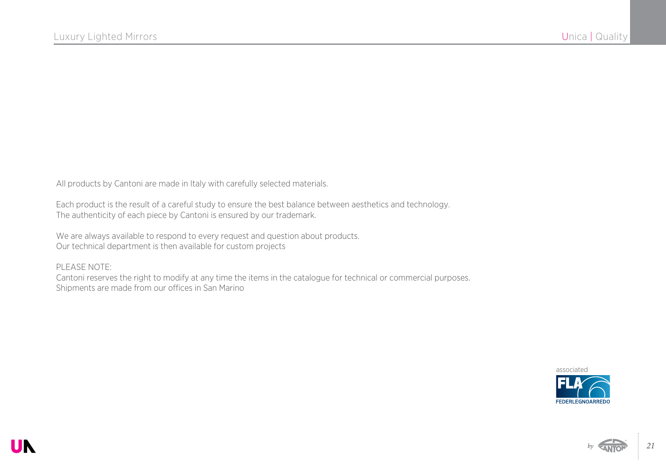All products by Cantoni are made in Italy with carefully selected materials.

Each product is the result of a careful study to ensure the best balance between aesthetics and technology. The authenticity of each piece by Cantoni is ensured by our trademark.

We are always available to respond to every request and question about products. Our technical department is then available for custom projects

PLEASE NOTE: Cantoni reserves the right to modify at any time the items in the catalogue for technical or commercial purposes. Shipments are made from our offices in San Marino

![](_page_20_Picture_6.jpeg)

*by 21*